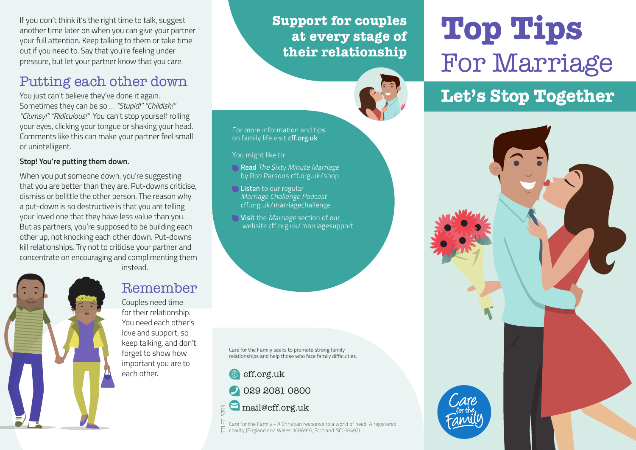If you don't think it's the right time to talk, suggest another time later on when you can give your partner your full attention. Keep talking to them or take time out if you need to. Say that you're feeling under pressure, but let your partner know that you care.

## Putting each other down

You just can't believe they've done it again. Sometimes they can be so … *"Stupid!" "Childish!" "Clumsy!" "Ridiculous!"* You can't stop yourself rolling your eyes, clicking your tongue or shaking your head. Comments like this can make your partner feel small or unintelligent.

#### **Stop! You're putting them down.**

When you put someone down, you're suggesting that you are better than they are. Put-downs criticise, dismiss or belittle the other person. The reason why a put-down is so destructive is that you are telling your loved one that they have less value than you. But as partners, you're supposed to be building each other up, not knocking each other down. Put-downs kill relationships. Try not to criticise your partner and concentrate on encouraging and complimenting them

instead.



#### Remember

Couples need time for their relationship. You need each other's love and support, so keep talking, and don't forget to show how important you are to each other.

#### **Support for couples at every stage of their relationship**

For more information and tips on family life visit cff.org.uk

You might like to:

Read The Sixty Minute Marriage by Rob Parsons cff.org.uk/shop

**Listen** to our regular Marriage Challenge Podcast cff.org.uk/marriagechallenge

**■ Visit** the *Marriage* section of our website cff.org.uk/marriagesupport

Care for the Family seeks to promote strong family relationships and help those who face family difficulties.

cff.org.uk

029 2081 0800

 $\square$  mail@cff.org.uk

Care for the Family – A Christian response to a world of need. A registered  $\overline{L}$  Care for the Family – A Christian response w a world of next<br> $\overline{L}$  charity (England and Wales: 1066905; Scotland: SC038497). TTLFTLST03

# **Top Tips**  For Marriage

# **Let's Stop Together**